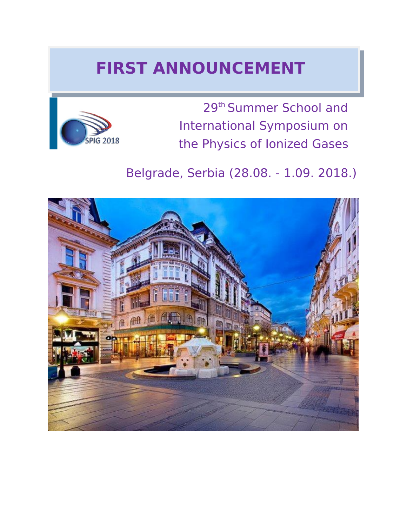# **FIRST ANNOUNCEMENT**



29th Summer School and International Symposium on the Physics of Ionized Gases

## Belgrade, Serbia (28.08. - 1.09. 2018.)

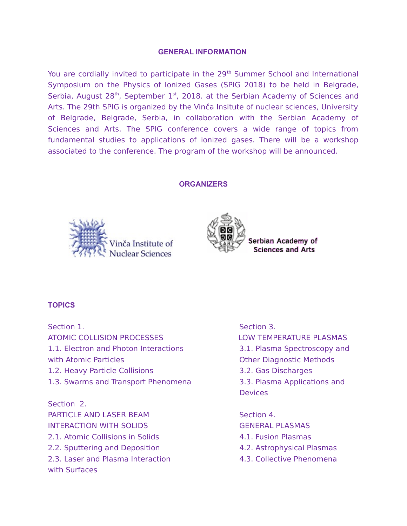#### **GENERAL INFORMATION**

You are cordially invited to participate in the 29<sup>th</sup> Summer School and International Symposium on the Physics of Ionized Gases (SPIG 2018) to be held in Belgrade, Serbia, August  $28<sup>th</sup>$ , September  $1<sup>st</sup>$ , 2018. at the Serbian Academy of Sciences and Arts. The 29th SPIG is organized by the Vinča Insitute of nuclear sciences, University of Belgrade, Belgrade, Serbia, in collaboration with the Serbian Academy of Sciences and Arts. The SPIG conference covers a wide range of topics from fundamental studies to applications of ionized gases. There will be a workshop associated to the conference. The program of the workshop will be announced.

#### **ORGANIZERS**





Serbian Academy of **Sciences and Arts** 

### **TOPICS**

Section 1. Section 3. ATOMIC COLLISION PROCESSES LOW TEMPERATURE PLASMAS 1.1. Electron and Photon Interactions 3.1. Plasma Spectroscopy and with Atomic Particles and Communication of Communication Communication Communication Other Diagnostic Methods 1.2. Heavy Particle Collisions 3.2. Gas Discharges 1.3. Swarms and Transport Phenomena 3.3. Plasma Applications and Section 2. PARTICLE AND LASER BEAM Section 4. INTERACTION WITH SOLIDS GENERAL PLASMAS 2.1. Atomic Collisions in Solids 4.1. Fusion Plasmas 2.2. Sputtering and Deposition 4.2. Astrophysical Plasmas 2.3. Laser and Plasma Interaction and the 4.3. Collective Phenomena with Surfaces

**Devices**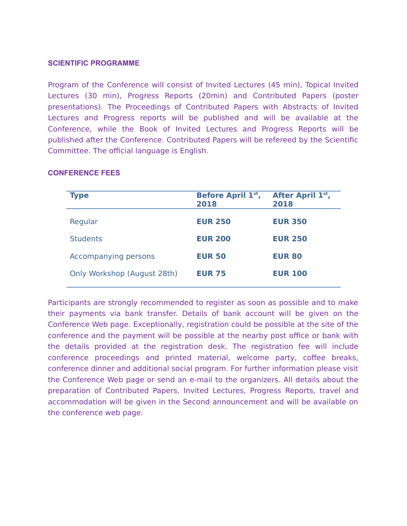#### **SCIENTIFIC PROGRAMME**

Program of the Conference will consist of Invited Lectures (45 min), Topical Invited Lectures (30 min), Progress Reports (20min) and Contributed Papers (poster presentations). The Proceedings of Contributed Papers with Abstracts of Invited Lectures and Progress reports will be published and will be available at the Conference, while the Book of Invited Lectures and Progress Reports will be published after the Conference. Contributed Papers will be refereed by the Scientific Committee. The official language is English.

| <b>Type</b>                 | <b>Before April 1st,</b><br>2018 | After April 1st,<br>2018 |
|-----------------------------|----------------------------------|--------------------------|
| Regular                     | <b>EUR 250</b>                   | <b>EUR 350</b>           |
| <b>Students</b>             | <b>EUR 200</b>                   | <b>EUR 250</b>           |
| Accompanying persons        | <b>EUR 50</b>                    | <b>EUR 80</b>            |
| Only Workshop (August 28th) | <b>EUR 75</b>                    | <b>EUR 100</b>           |
|                             |                                  |                          |

### **CONFERENCE FEES**

Participants are strongly recommended to register as soon as possible and to make their payments via bank transfer. Details of bank account will be given on the Conference Web page. Exceptionally, registration could be possible at the site of the conference and the payment will be possible at the nearby post office or bank with the details provided at the registration desk. The registration fee will include conference proceedings and printed material, welcome party, coffee breaks, conference dinner and additional social program. For further information please visit the Conference Web page or send an e-mail to the organizers. All details about the preparation of Contributed Papers, Invited Lectures, Progress Reports, travel and accommodation will be given in the Second announcement and will be available on the conference web page.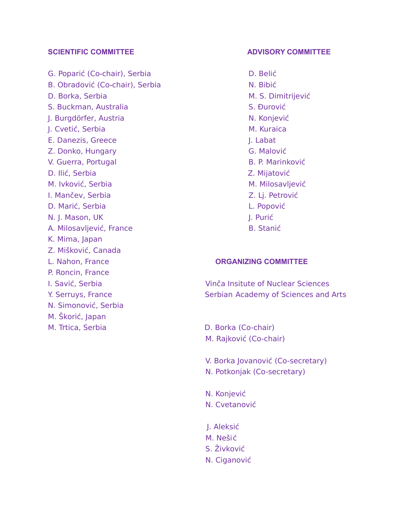G. Poparić (Co-chair), Serbia D. Belić B. Obradović (Co-chair), Serbia N. Bibić N. Bibić D. Borka, Serbia M. S. Dimitrijević S. Buckman, Australia S. Buckman, S. Đurović I. Burgdörfer, Austria N. Konjević I. Cvetić, Serbia M. Kuraica E. Danezis, Greece J. Labat J. Labat J. Labat Z. Donko, Hungary G. Malović V. Guerra, Portugal B. P. Marinković D. Ilić, Serbia Z. Mijatović M. Ivković, Serbia M. Milosavljević I. Mančev, Serbia Z. Lj. Petrović D. Marić, Serbia L. Popović N. J. Mason, UK J. Purić I. Purić A. Milosavljević, France B. Stanić K. Mima, Japan Z. Mišković, Canada L. Nahon, France **ORGANIZING COMMITTEE** P. Roncin, France I. Savić, Serbia Vinča Insitute of Nuclear Sciences N. Simonović, Serbia M. Škorić, Japan

#### **SCIENTIFIC COMMITTEE ADVISORY COMMITTEE**

Y. Serruys, France Serbian Academy of Sciences and Arts

M. Trtica, Serbia D. Borka (Co-chair) M. Rajković (Co-chair)

V. Borka Jovanović (Co-secretary)

N. Potkonjak (Co-secretary)

 N. Konjević N. Cvetanović

 J. Aleksić M. Nešić

- S. Živković
- N. Ciganović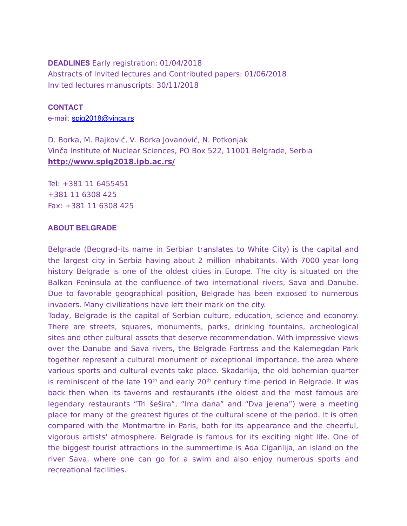#### **DEADLINES** Early registration: 01/04/2018

Abstracts of Invited lectures and Contributed papers: 01/06/2018 Invited lectures manuscripts: 30/11/2018

**CONTACT** e-mail: [spig2018@vinca.rs](mailto:spig2018@vinca.rs)

D. Borka, M. Rajković, V. Borka Jovanović, N. Potkonjak Vinča Institute of Nuclear Sciences, PO Box 522, 11001 Belgrade, Serbia **http://www.spig2018.ipb.ac.rs/**

Tel: +381 11 6455451 +381 11 6308 425 Fax: +381 11 6308 425

#### **ABOUT BELGRADE**

Belgrade (Beograd-its name in Serbian translates to White City) is the capital and the largest city in Serbia having about 2 million inhabitants. With 7000 year long history Belgrade is one of the oldest cities in Europe. The city is situated on the Balkan Peninsula at the confluence of two international rivers, Sava and Danube. Due to favorable geographical position, Belgrade has been exposed to numerous invaders. Many civilizations have left their mark on the city.

Today, Belgrade is the capital of Serbian culture, education, science and economy. There are streets, squares, monuments, parks, drinking fountains, archeological sites and other cultural assets that deserve recommendation. With impressive views over the Danube and Sava rivers, the Belgrade Fortress and the Kalemegdan Park together represent a cultural monument of exceptional importance, the area where various sports and cultural events take place. Skadarlija, the old bohemian quarter is reminiscent of the late  $19<sup>th</sup>$  and early  $20<sup>th</sup>$  century time period in Belgrade. It was back then when its taverns and restaurants (the oldest and the most famous are legendary restaurants "Tri šešira", "Ima dana" and "Dva jelena") were a meeting place for many of the greatest figures of the cultural scene of the period. It is often compared with the Montmartre in Paris, both for its appearance and the cheerful, vigorous artists' atmosphere. Belgrade is famous for its exciting night life. One of the biggest tourist attractions in the summertime is Ada Ciganlija, an island on the river Sava, where one can go for a swim and also enjoy numerous sports and recreational facilities.